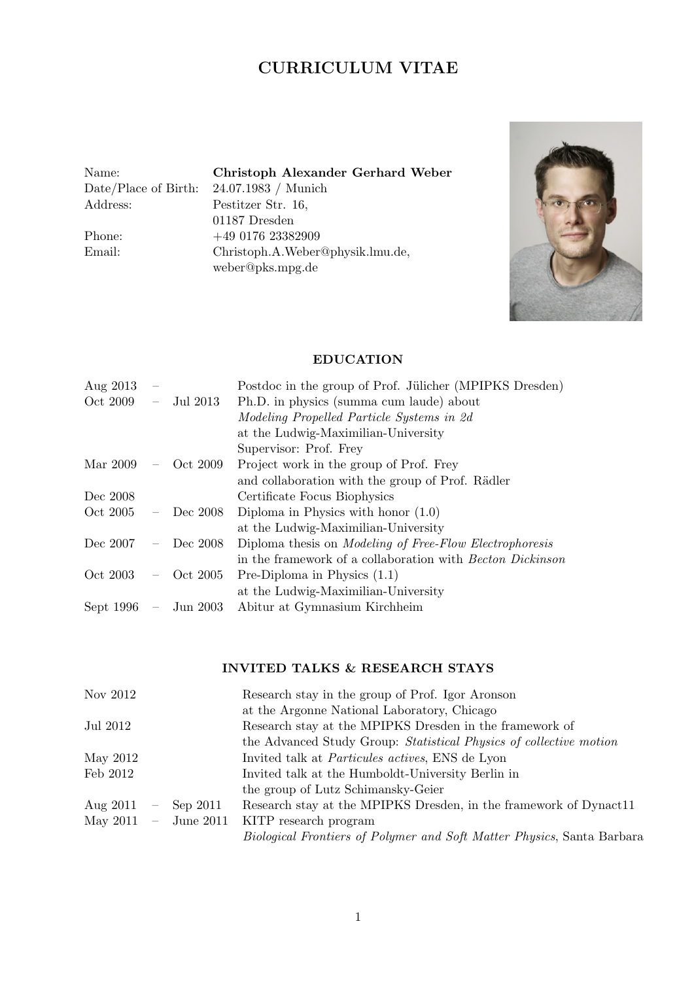# CURRICULUM VITAE

Address: Pestitzer Str. 16,

Name: Christoph Alexander Gerhard Weber Date/Place of Birth: 24.07.1983 / Munich 01187 Dresden Phone: +49 0176 23382909<br>Email: Christoph.A.Weber Christoph.A.Weber@physik.lmu.de, weber@pks.mpg.de



# EDUCATION

| Aug 2013  |                          |              | Postdoc in the group of Prof. Jülicher (MPIPKS Dresden)          |
|-----------|--------------------------|--------------|------------------------------------------------------------------|
| Oct 2009  | $\overline{\phantom{0}}$ | Jul 2013     | Ph.D. in physics (summa cum laude) about                         |
|           |                          |              | Modeling Propelled Particle Systems in 2d                        |
|           |                          |              | at the Ludwig-Maximilian-University                              |
|           |                          |              | Supervisor: Prof. Frey                                           |
| Mar 2009  | $\overline{\phantom{0}}$ | Oct 2009     | Project work in the group of Prof. Frey                          |
|           |                          |              | and collaboration with the group of Prof. Rädler                 |
| Dec 2008  |                          |              | Certificate Focus Biophysics                                     |
| Oct 2005  | $\overline{\phantom{0}}$ | Dec 2008     | Diploma in Physics with honor $(1.0)$                            |
|           |                          |              | at the Ludwig-Maximilian-University                              |
| Dec 2007  | $\overline{\phantom{0}}$ | Dec 2008     | Diploma thesis on <i>Modeling of Free-Flow Electrophoresis</i>   |
|           |                          |              | in the framework of a collaboration with <i>Becton Dickinson</i> |
| Oct 2003  |                          | $-$ Oct 2005 | Pre-Diploma in Physics $(1.1)$                                   |
|           |                          |              | at the Ludwig-Maximilian-University                              |
| Sept 1996 | $\frac{1}{2}$            | Jun 2003     | Abitur at Gymnasium Kirchheim                                    |

# INVITED TALKS & RESEARCH STAYS

| Nov 2012   |                          |               | Research stay in the group of Prof. Igor Aronson                              |
|------------|--------------------------|---------------|-------------------------------------------------------------------------------|
|            |                          |               | at the Argonne National Laboratory, Chicago                                   |
| Jul 2012   |                          |               | Research stay at the MPIPKS Dresden in the framework of                       |
|            |                          |               | the Advanced Study Group: Statistical Physics of collective motion            |
| May 2012   |                          |               | Invited talk at <i>Particules actives</i> , ENS de Lyon                       |
| Feb 2012   |                          |               | Invited talk at the Humboldt-University Berlin in                             |
|            |                          |               | the group of Lutz Schimansky-Geier                                            |
| Aug $2011$ | $\overline{\phantom{m}}$ | Sep 2011      | Research stay at the MPIPKS Dresden, in the framework of Dynact11             |
| May 2011   |                          | $-$ June 2011 | KITP research program                                                         |
|            |                          |               | <i>Biological Frontiers of Polymer and Soft Matter Physics, Santa Barbara</i> |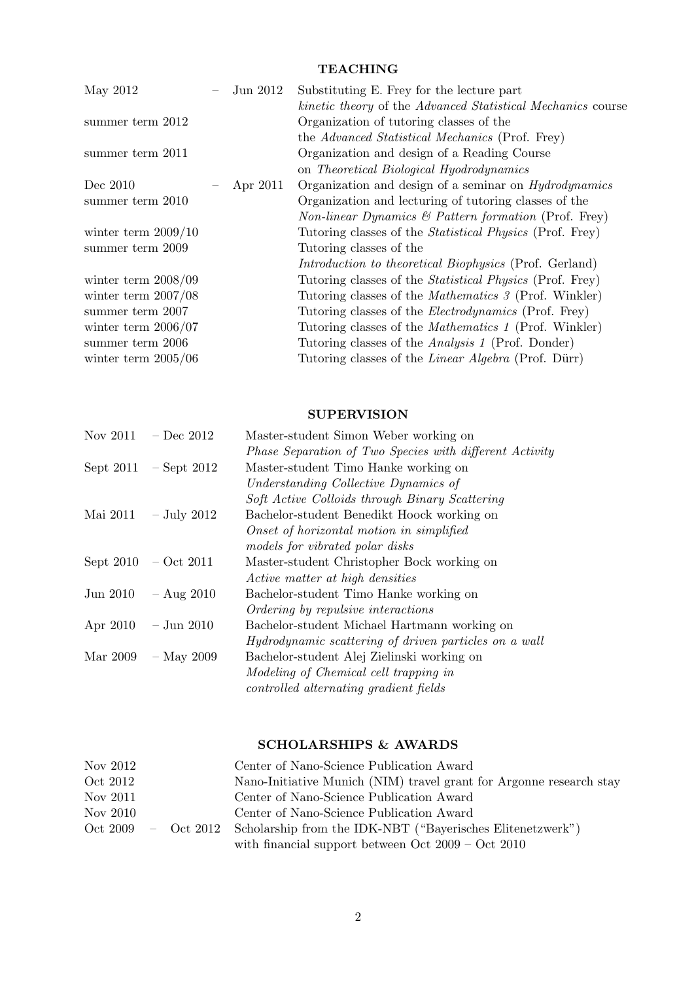# TEACHING

| May 2012              | Jun 2012 | Substituting E. Frey for the lecture part                             |
|-----------------------|----------|-----------------------------------------------------------------------|
|                       |          | kinetic theory of the Advanced Statistical Mechanics course           |
| summer term 2012      |          | Organization of tutoring classes of the                               |
|                       |          | the Advanced Statistical Mechanics (Prof. Frey)                       |
| summer term 2011      |          | Organization and design of a Reading Course                           |
|                       |          | on Theoretical Biological Hyodrodynamics                              |
| Dec 2010              | Apr 2011 | Organization and design of a seminar on <i>Hydrodynamics</i>          |
| summer term 2010      |          | Organization and lecturing of tutoring classes of the                 |
|                       |          | <i>Non-linear Dynamics</i> $\&$ <i>Pattern formation</i> (Prof. Frey) |
| winter term $2009/10$ |          | Tutoring classes of the <i>Statistical Physics</i> (Prof. Frey)       |
| summer term 2009      |          | Tutoring classes of the                                               |
|                       |          | <i>Introduction to theoretical Biophysics</i> (Prof. Gerland)         |
| winter term $2008/09$ |          | Tutoring classes of the <i>Statistical Physics</i> (Prof. Frey)       |
| winter term $2007/08$ |          | Tutoring classes of the <i>Mathematics 3</i> (Prof. Winkler)          |
| summer term 2007      |          | Tutoring classes of the <i>Electrodynamics</i> (Prof. Frey)           |
| winter term $2006/07$ |          | Tutoring classes of the <i>Mathematics 1</i> (Prof. Winkler)          |
| summer term 2006      |          | Tutoring classes of the <i>Analysis 1</i> (Prof. Donder)              |
| winter term $2005/06$ |          | Tutoring classes of the <i>Linear Algebra</i> (Prof. Dürr)            |
|                       |          |                                                                       |

# **SUPERVISION**

| Nov 2011 | $-$ Dec 2012              | Master-student Simon Weber working on                   |
|----------|---------------------------|---------------------------------------------------------|
|          |                           | Phase Separation of Two Species with different Activity |
|          | Sept $2011 -$ Sept $2012$ | Master-student Timo Hanke working on                    |
|          |                           | Understanding Collective Dynamics of                    |
|          |                           | Soft Active Colloids through Binary Scattering          |
|          | Mai 2011 $-$ July 2012    | Bachelor-student Benedikt Hoock working on              |
|          |                           | Onset of horizontal motion in simplified                |
|          |                           | models for vibrated polar disks                         |
|          | Sept $2010 - Oct 2011$    | Master-student Christopher Bock working on              |
|          |                           | Active matter at high densities                         |
| Jun 2010 | $-$ Aug 2010              | Bachelor-student Timo Hanke working on                  |
|          |                           | Ordering by repulsive interactions                      |
|          | Apr 2010 $-$ Jun 2010     | Bachelor-student Michael Hartmann working on            |
|          |                           | Hydrodynamic scattering of driven particles on a wall   |
| Mar 2009 | $-$ May 2009              | Bachelor-student Alej Zielinski working on              |
|          |                           | Modeling of Chemical cell trapping in                   |
|          |                           | controlled alternating gradient fields                  |
|          |                           |                                                         |

# SCHOLARSHIPS & AWARDS

| Nov 2012 | Center of Nano-Science Publication Award                                       |
|----------|--------------------------------------------------------------------------------|
| Oct 2012 | Nano-Initiative Munich (NIM) travel grant for Argonne research stay            |
| Nov 2011 | Center of Nano-Science Publication Award                                       |
| Nov 2010 | Center of Nano-Science Publication Award                                       |
|          | Oct 2009 – Oct 2012 Scholarship from the IDK-NBT ("Bayerisches Elitenetzwerk") |
|          | with financial support between Oct $2009 - \text{Oct } 2010$                   |